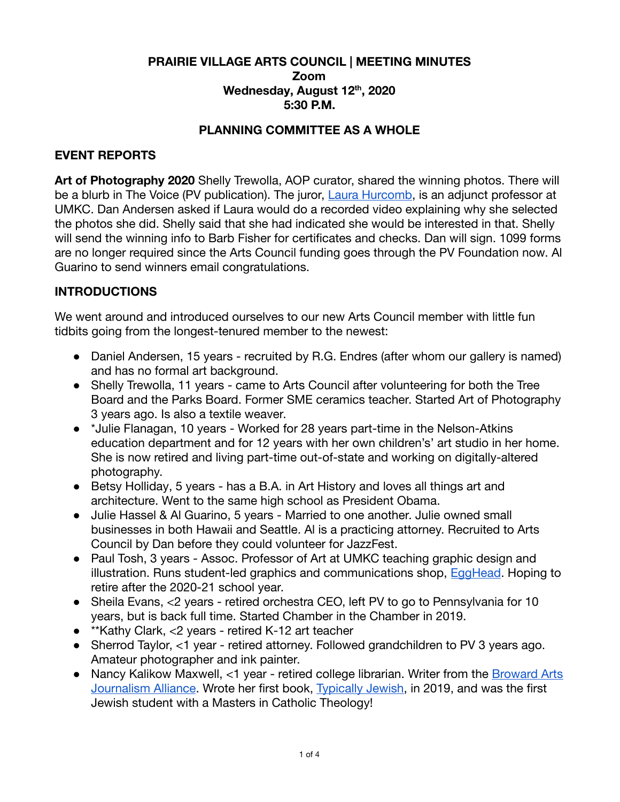## **PRAIRIE VILLAGE ARTS COUNCIL | MEETING MINUTES Zoom Wednesday, August 12 th , 2020 5:30 P.M.**

## **PLANNING COMMITTEE AS A WHOLE**

## **EVENT REPORTS**

**Art of Photography 2020** Shelly Trewolla, AOP curator, shared the winning photos. There will be a blurb in The Voice (PV publication). The juror, [Laura Hurcomb](https://www.laurahurcomb.com/curriculum-vitae), is an adjunct professor at UMKC. Dan Andersen asked if Laura would do a recorded video explaining why she selected the photos she did. Shelly said that she had indicated she would be interested in that. Shelly will send the winning info to Barb Fisher for certificates and checks. Dan will sign. 1099 forms are no longer required since the Arts Council funding goes through the PV Foundation now. Al Guarino to send winners email congratulations.

# **INTRODUCTIONS**

We went around and introduced ourselves to our new Arts Council member with little fun tidbits going from the longest-tenured member to the newest:

- Daniel Andersen, 15 years recruited by R.G. Endres (after whom our gallery is named) and has no formal art background.
- Shelly Trewolla, 11 years came to Arts Council after volunteering for both the Tree Board and the Parks Board. Former SME ceramics teacher. Started Art of Photography 3 years ago. Is also a textile weaver.
- \*Julie Flanagan, 10 years Worked for 28 years part-time in the Nelson-Atkins education department and for 12 years with her own children's' art studio in her home. She is now retired and living part-time out-of-state and working on digitally-altered photography.
- Betsy Holliday, 5 years has a B.A. in Art History and loves all things art and architecture. Went to the same high school as President Obama.
- Julie Hassel & Al Guarino, 5 years Married to one another. Julie owned small businesses in both Hawaii and Seattle. Al is a practicing attorney. Recruited to Arts Council by Dan before they could volunteer for JazzFest.
- Paul Tosh, 3 years Assoc. Professor of Art at UMKC teaching graphic design and illustration. Runs student-led graphics and communications shop, **EggHead**. Hoping to retire after the 2020-21 school year.
- Sheila Evans, <2 years retired orchestra CEO, left PV to go to Pennsylvania for 10 years, but is back full time. Started Chamber in the Chamber in 2019.
- \*\*Kathy Clark, <2 years retired K-12 art teacher
- Sherrod Taylor, <1 year retired attorney. Followed grandchildren to PV 3 years ago. Amateur photographer and ink painter.
- Nancy Kalikow Maxwell, <1 year retired college librarian. Writer from the [Broward Arts](https://www.broward.org/Arts/Pages/BAJA.aspx)  Journalism Alliance. Wrote her first book, Typically Jewish, in 2019, and was the first Jewish student with a Masters in Catholic Theology!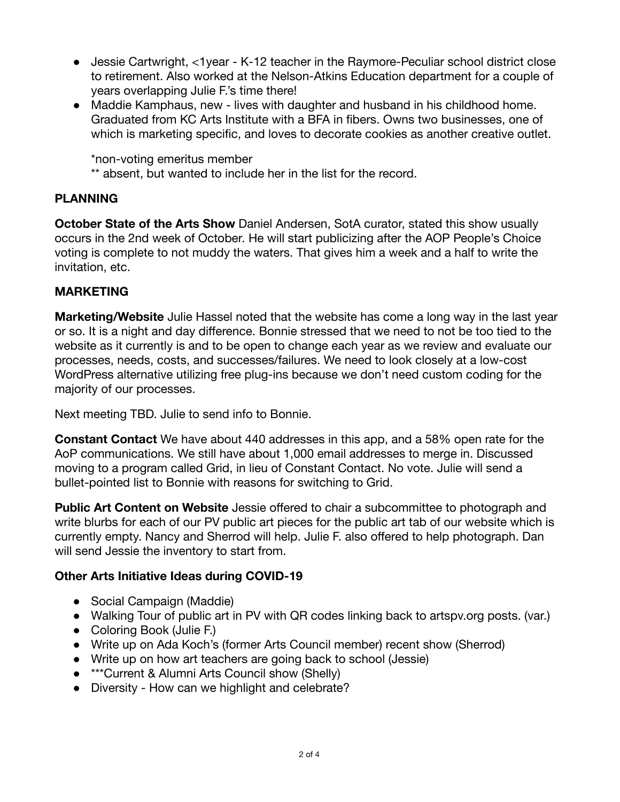- Jessie Cartwright, <1year K-12 teacher in the Raymore-Peculiar school district close to retirement. Also worked at the Nelson-Atkins Education department for a couple of years overlapping Julie F.'s time there!
- Maddie Kamphaus, new lives with daughter and husband in his childhood home. Graduated from KC Arts Institute with a BFA in fibers. Owns two businesses, one of which is marketing specific, and loves to decorate cookies as another creative outlet.

\*non-voting emeritus member

\*\* absent, but wanted to include her in the list for the record.

# **PLANNING**

**October State of the Arts Show** Daniel Andersen, SotA curator, stated this show usually occurs in the 2nd week of October. He will start publicizing after the AOP People's Choice voting is complete to not muddy the waters. That gives him a week and a half to write the invitation, etc.

# **MARKETING**

**Marketing/Website** Julie Hassel noted that the website has come a long way in the last year or so. It is a night and day difference. Bonnie stressed that we need to not be too tied to the website as it currently is and to be open to change each year as we review and evaluate our processes, needs, costs, and successes/failures. We need to look closely at a low-cost WordPress alternative utilizing free plug-ins because we don't need custom coding for the majority of our processes.

Next meeting TBD. Julie to send info to Bonnie.

**Constant Contact** We have about 440 addresses in this app, and a 58% open rate for the AoP communications. We still have about 1,000 email addresses to merge in. Discussed moving to a program called Grid, in lieu of Constant Contact. No vote. Julie will send a bullet-pointed list to Bonnie with reasons for switching to Grid.

**Public Art Content on Website** Jessie offered to chair a subcommittee to photograph and write blurbs for each of our PV public art pieces for the public art tab of our website which is currently empty. Nancy and Sherrod will help. Julie F. also offered to help photograph. Dan will send Jessie the inventory to start from.

# **Other Arts Initiative Ideas during COVID-19**

- Social Campaign (Maddie)
- Walking Tour of public art in PV with QR codes linking back to artspv.org posts. (var.)
- Coloring Book (Julie F.)
- Write up on Ada Koch's (former Arts Council member) recent show (Sherrod)
- Write up on how art teachers are going back to school (Jessie)
- **\*\*\*Current & Alumni Arts Council show (Shelly)**
- Diversity How can we highlight and celebrate?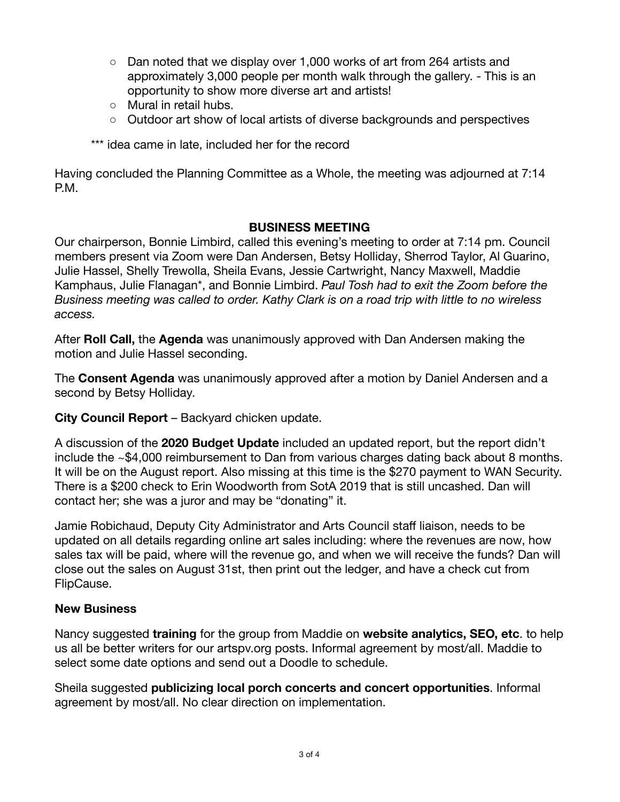- $\circ$  Dan noted that we display over 1,000 works of art from 264 artists and approximately 3,000 people per month walk through the gallery. - This is an opportunity to show more diverse art and artists!
- Mural in retail hubs.
- Outdoor art show of local artists of diverse backgrounds and perspectives
- \*\*\* idea came in late, included her for the record

Having concluded the Planning Committee as a Whole, the meeting was adjourned at 7:14 P.M.

# **BUSINESS MEETING**

Our chairperson, Bonnie Limbird, called this evening's meeting to order at 7:14 pm. Council members present via Zoom were Dan Andersen, Betsy Holliday, Sherrod Taylor, Al Guarino, Julie Hassel, Shelly Trewolla, Sheila Evans, Jessie Cartwright, Nancy Maxwell, Maddie Kamphaus, Julie Flanagan\*, and Bonnie Limbird. *Paul Tosh had to exit the Zoom before the Business meeting was called to order. Kathy Clark is on a road trip with little to no wireless access.* 

After **Roll Call,** the **Agenda** was unanimously approved with Dan Andersen making the motion and Julie Hassel seconding.

The **Consent Agenda** was unanimously approved after a motion by Daniel Andersen and a second by Betsy Holliday.

**City Council Report** – Backyard chicken update.

A discussion of the **2020 Budget Update** included an updated report, but the report didn't include the ~\$4,000 reimbursement to Dan from various charges dating back about 8 months. It will be on the August report. Also missing at this time is the \$270 payment to WAN Security. There is a \$200 check to Erin Woodworth from SotA 2019 that is still uncashed. Dan will contact her; she was a juror and may be "donating" it.

Jamie Robichaud, Deputy City Administrator and Arts Council staff liaison, needs to be updated on all details regarding online art sales including: where the revenues are now, how sales tax will be paid, where will the revenue go, and when we will receive the funds? Dan will close out the sales on August 31st, then print out the ledger, and have a check cut from FlipCause.

# **New Business**

Nancy suggested **training** for the group from Maddie on **website analytics, SEO, etc** . to help us all be better writers for our artspv.org posts. Informal agreement by most/all. Maddie to select some date options and send out a Doodle to schedule.

Sheila suggested **publicizing local porch concerts and concert opportunities** . Informal agreement by most/all. No clear direction on implementation.